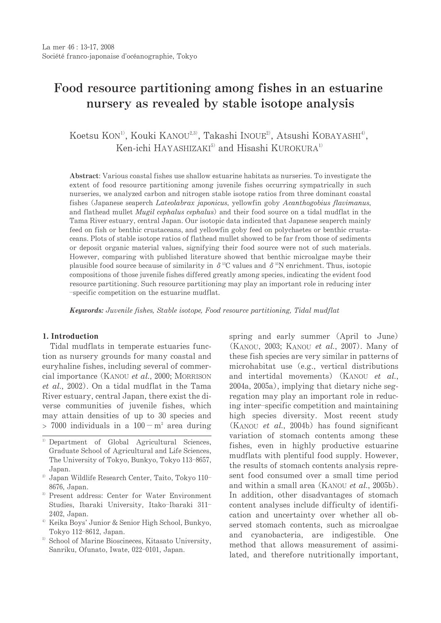# Food resource partitioning among fishes in an estuarine nursery as revealed by stable isotope analysis

Koetsu KON<sup>1)</sup>, Kouki KANOU<sup>2,3)</sup>, Takashi INOUE<sup>2</sup>, Atsushi KOBAYASHI<sup>4</sup><sup>)</sup>, Ken-ichi HAYASHIZAKI<sup>5)</sup> and Hisashi KUROKURA<sup>1)</sup>

Abstract: Various coastal fishes use shallow estuarine habitats as nurseries. To investigate the extent of food resource partitioning among juvenile fishes occurring sympatrically in such nurseries, we analyzed carbon and nitrogen stable isotope ratios from three dominant coastal fishes (Japanese seaperch Lateolabrax japonicus, yellowfin goby Acanthogobius flavimanus, and flathead mullet *Mugil cephalus cephalus*) and their food source on a tidal mudflat in the Tama River estuary, central Japan. Our isotopic data indicated that Japanese seaperch mainly feed on fish or benthic crustaceans, and yellowfin goby feed on polychaetes or benthic crustaceans. Plots of stable isotope ratios of flathead mullet showed to be far from those of sediments or deposit organic material values, signifying their food source were not of such materials. However, comparing with published literature showed that benthic microalgae maybe their plausible food source because of similarity in  $\delta^{18}C$  values and  $\delta^{15}N$  enrichment. Thus, isotopic compositions of those juvenile fishes differed greatly among species, indicating the evident food resource partitioning. Such resource partitioning may play an important role in reducing inter -specific competition on the estuarine mudflat.

**Keywords:** Juvenile fishes, Stable isotope, Food resource partitioning, Tidal mudflat

#### 1. Introduction

Tidal mudflats in temperate estuaries function as nursery grounds for many coastal and euryhaline fishes, including several of commercial importance (KANOU et al., 2000; MORRISON et al., 2002). On a tidal mudflat in the Tama River estuary, central Japan, there exist the diverse communities of juvenile fishes, which may attain densities of up to 30 species and  $> 7000$  individuals in a  $100 - m^2$  area during

- <sup>3)</sup> Present address: Center for Water Environment Studies, Ibaraki University, Itako-Ibaraki 311-2402, Japan.
- <sup>4)</sup> Keika Boys' Junior & Senior High School, Bunkyo, Tokyo 112-8612, Japan.
- <sup>5)</sup> School of Marine Bioscineces, Kitasato University, Sanriku, Ofunato, Iwate, 022-0101, Japan.

spring and early summer (April to June) (KANOU, 2003; KANOU *et al.*, 2007). Many of these fish species are very similar in patterns of microhabitat use (e.g., vertical distributions) and intertidal movements) (KANOU et al., 2004a, 2005a), implying that dietary niche segregation may play an important role in reducing inter-specific competition and maintaining high species diversity. Most recent study (KANOU et al., 2004b) has found significant variation of stomach contents among these fishes, even in highly productive estuarine mudflats with plentiful food supply. However, the results of stomach contents analysis represent food consumed over a small time period and within a small area (KANOU et al., 2005b). In addition, other disadvantages of stomach content analyses include difficulty of identification and uncertainty over whether all observed stomach contents, such as microalgae and cyanobacteria, are indigestible. One method that allows measurement of assimilated, and therefore nutritionally important,

<sup>&</sup>lt;sup>1)</sup> Department of Global Agricultural Sciences, Graduate School of Agricultural and Life Sciences, The University of Tokyo, Bunkyo, Tokyo 113-8657, Japan.

<sup>&</sup>lt;sup>2)</sup> Japan Wildlife Research Center, Taito, Tokyo 110-8676, Japan.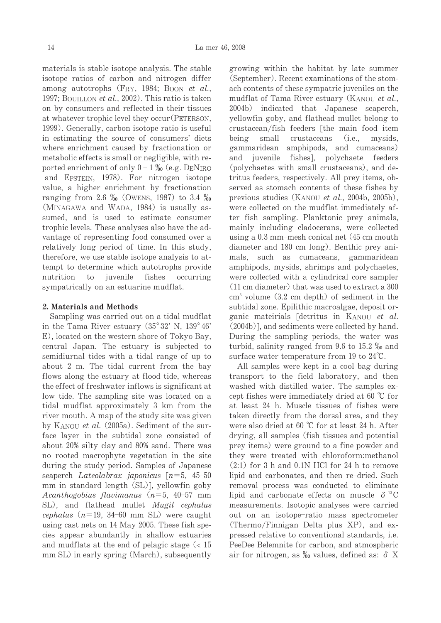materials is stable isotope analysis. The stable isotope ratios of carbon and nitrogen differ among autotrophs (FRY, 1984; Boon et al., 1997; BOUILLON et al., 2002). This ratio is taken on by consumers and reflected in their tissues at whatever trophic level they occur (PETERSON, 1999). Generally, carbon isotope ratio is useful in estimating the source of consumers' diets where enrichment caused by fractionation or metabolic effects is small or negligible, with reported enrichment of only  $0 - 1\%$  (e.g. DENIRO and EPSTEIN, 1978). For nitrogen isotope value, a higher enrichment by fractionation ranging from 2.6 % (OWENS, 1987) to 3.4 % (MINAGAWA and WADA, 1984) is usually assumed, and is used to estimate consumer trophic levels. These analyses also have the advantage of representing food consumed over a relatively long period of time. In this study, therefore, we use stable isotope analysis to attempt to determine which autotrophs provide nutrition to juvenile fishes occurring sympatrically on an estuarine mudflat.

## 2. Materials and Methods

Sampling was carried out on a tidal mudflat in the Tama River estuary  $(35^{\circ}32' \text{ N}, 139^{\circ}46')$ E), located on the western shore of Tokyo Bay, central Japan. The estuary is subjected to semidiurnal tides with a tidal range of up to about 2 m. The tidal current from the bay flows along the estuary at flood tide, whereas the effect of freshwater inflows is significant at low tide. The sampling site was located on a tidal mudflat approximately 3 km from the river mouth. A map of the study site was given by KANOU et al. (2005a). Sediment of the surface layer in the subtidal zone consisted of about 20% silty clay and 80% sand. There was no rooted macrophyte vegetation in the site during the study period. Samples of Japanese seaperch Lateolabrax japonicus  $[n=5, 45-50]$ mm in standard length (SL)], yellowfin goby Acanthogobius flavimanus  $(n=5, 40-57 \text{ mm})$ SL), and flathead mullet Mugil cephalus cephalus  $(n=19, 34-60 \text{ mm SL})$  were caught using cast nets on 14 May 2005. These fish species appear abundantly in shallow estuaries and mudflats at the end of pelagic stage  $\langle$  15 mm SL) in early spring (March), subsequently

growing within the habitat by late summer (September). Recent examinations of the stomach contents of these sympatric juveniles on the mudflat of Tama River estuary (KANOU et al., 2004b) indicated that Japanese seaperch, yellowfin goby, and flathead mullet belong to crustacean/fish feeders [the main food item being small crustaceans  $(i.e.,$ mysids, gammaridean amphipods, and cumaceans) and juvenile fishes]. polychaete feeders (polychaetes with small crustaceans), and detritus feeders, respectively. All prey items, observed as stomach contents of these fishes by previous studies (KANOU et al., 2004b, 2005b), were collected on the mudflat immediately after fish sampling. Planktonic prey animals, mainly including cladocerans, were collected using a  $0.3$  mm-mesh conical net  $(45 \text{ cm}$  mouth diameter and 180 cm long). Benthic prey animals, such as cumaceans, gammaridean amphipods, mysids, shrimps and polychaetes, were collected with a cylindrical core sampler  $(11 \text{ cm diameter})$  that was used to extract a 300  $\text{cm}^3$  volume  $(3.2 \text{ cm depth})$  of sediment in the subtidal zone. Epilithic macroalgae, deposit organic mateirials [detritus in KANOU et al.  $(2004b)$ ], and sediments were collected by hand. During the sampling periods, the water was turbid, salinity ranged from 9.6 to 15.2  $\%$  and surface water temperature from 19 to  $24^{\circ}$ C.

All samples were kept in a cool bag during transport to the field laboratory, and then washed with distilled water. The samples except fishes were immediately dried at 60 °C for at least 24 h. Muscle tissues of fishes were taken directly from the dorsal area, and they were also dried at 60 °C for at least 24 h. After drying, all samples (fish tissues and potential prey items) were ground to a fine powder and they were treated with chloroform:methanol  $(2:1)$  for 3 h and 0.1N HCl for 24 h to remove lipid and carbonates, and then re-dried. Such removal process was conducted to eliminate lipid and carbonate effects on muscle  $\delta^{13}$ C measurements. Isotopic analyses were carried out on an isotope-ratio mass spectrometer (Thermo/Finnigan Delta plus XP), and expressed relative to conventional standards, *i.e.* PeeDee Belemnite for carbon, and atmospheric air for nitrogen, as  $\%$  values, defined as:  $\delta$  X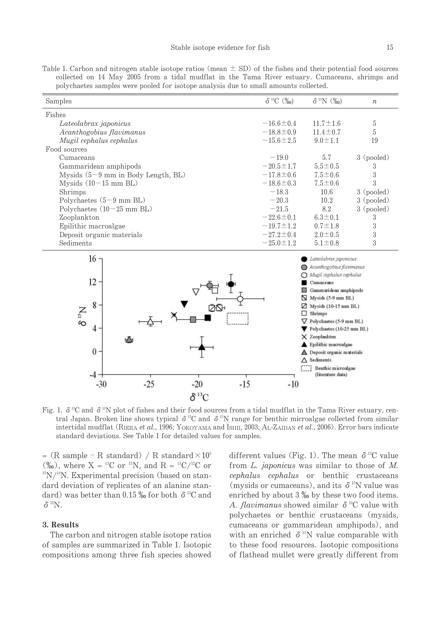Table 1. Carbon and nitrogen stable isotope ratios (mean  $\pm$  SD) of the fishes and their potential food sources collected on 14 May 2005 from a tidal mudflat in the Tama River estuary. Cumaceans, shrimps and polychaetes samples were pooled for isotope analysis due to small amounts collected.

| Samples                              | $\delta^{13}C$ (%0) | $\delta^{15}N$ (%0)                                                                                                                                                                   | $\boldsymbol{n}$ |  |
|--------------------------------------|---------------------|---------------------------------------------------------------------------------------------------------------------------------------------------------------------------------------|------------------|--|
| Fishes                               |                     |                                                                                                                                                                                       |                  |  |
| Lateolabrax <i>japonicus</i>         | $-16.6 \pm 0.4$     | $11.7 \pm 1.6$                                                                                                                                                                        | 5                |  |
| Acanthogobius flavimanus             | $-18.8 \pm 0.9$     | $11.4 \pm 0.7$                                                                                                                                                                        | 5                |  |
| Mugil cephalus cephalus              | $-15.6 \pm 2.5$     | $9.0 \pm 1.1$                                                                                                                                                                         | 19               |  |
| Food sources                         |                     |                                                                                                                                                                                       |                  |  |
| Cumaceans                            | $-19.0$             | 5.7                                                                                                                                                                                   | 3 (pooled)       |  |
| Gammaridean amphipods                | $-20.5 \pm 1.7$     | $5.5 \pm 0.5$                                                                                                                                                                         | 3                |  |
| Mysids $(5-9$ mm in Body Length, BL) | $-17.8 \pm 0.6$     | $7.5 \pm 0.6$                                                                                                                                                                         | 3                |  |
| Mysids $(10-15$ mm BL)               | $-18.6 \pm 0.3$     | $7.5 \pm 0.6$                                                                                                                                                                         | $\mathcal{S}$    |  |
| Shrimps                              | $-18.3$             | 10.6                                                                                                                                                                                  | 3 (pooled)       |  |
| Polychaetes $(5-9$ mm BL)            | $-20.3$             | 10.2                                                                                                                                                                                  | 3 (pooled)       |  |
| Polychaetes $(10-25$ mm BL)          | $-21.5$             | 8.2                                                                                                                                                                                   | 3 (pooled)       |  |
| Zooplankton                          | $-22.6 \pm 0.1$     | $6.3 \pm 0.1$                                                                                                                                                                         | 3                |  |
| Epilithic macroalgae                 | $-19.7 \pm 1.2$     | $0.7 \pm 1.8$                                                                                                                                                                         | 3                |  |
| Deposit organic materials            | $-27.2 \pm 0.4$     | $2.0 \pm 0.5$                                                                                                                                                                         | 3                |  |
| Sediments                            | $-25.0 \pm 1.2$     | $5.1 \pm 0.8$                                                                                                                                                                         | 3                |  |
| 16<br>$12 -$<br>8                    |                     | Lateolabrax japonicus<br>Acanthogobius flavimanus<br>Mugil cephalus cephalus<br>Cumaceans<br>Gammaridean amphipods<br>Mysids (5-9 mm BL)<br>N<br>Mysids (10-15 mm BL)<br>Shrimps<br>п |                  |  |
|                                      |                     | $\nabla$ Polychaetes (5-9 mm BL)<br>Polychaetes $(10-25$ mm BL)                                                                                                                       |                  |  |

X Zooplankton Epilithic macroalgae  $\Omega$  $\triangle$  Deposit organic materials  $\triangle$  Sediments Benthic microalgae (literature data)  $-4 -25$  $-20$  $-15$  $-30$  $-10$  $\delta^{13}$ C

Fig. 1.  $\delta^{13}C$  and  $\delta^{15}N$  plot of fishes and their food sources from a tidal mudflat in the Tama River estuary, central Japan. Broken line shows typical  $\delta^{13}C$  and  $\delta^{15}N$  range for benthic microalgae collected from similar intertidal mudflat (RIERA et al., 1996; YOKOYAMA and ISHII, 2003; AL-ZAIDAN et al., 2006). Error bars indicate standard deviations. See Table 1 for detailed values for samples.

= (R sample – R standard) / R standard $\times 10^3$  $(\%_0)$ , where X = <sup>13</sup>C or <sup>15</sup>N, and R = <sup>13</sup>C/<sup>12</sup>C or  $^{15}N/^{14}N$ . Experimental precision (based on standard deviation of replicates of an alanine standard) was better than 0.15  $\%$  for both  $\delta$ <sup>13</sup>C and  $\delta$ <sup>15</sup>N.

#### 3. Results

The carbon and nitrogen stable isotope ratios of samples are summarized in Table 1. Isotopic compositions among three fish species showed different values (Fig. 1). The mean  $\delta^{13}$ C value from  $L$ . *japonicus* was similar to those of  $M$ . *cephalus cephalus* or benthic crustaceans (mysids or cumaceans), and its  $\delta$ <sup>15</sup>N value was enriched by about  $3\%$  by these two food items. A. *flavimanus* showed similar  $\delta$ <sup>13</sup>C value with polychaetes or benthic crustaceans (mysids, cumaceans or gammaridean amphipods), and with an enriched  $\delta$ <sup>15</sup>N value comparable with to these food resources. Isotopic compositions of flathead mullet were greatly different from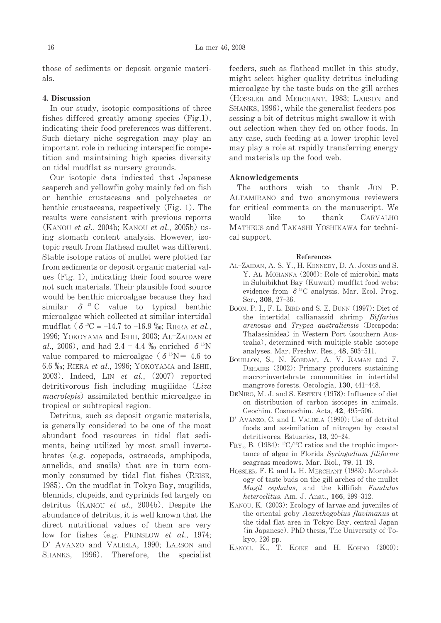those of sediments or deposit organic materials.

#### 4. Discussion

In our study, isotopic compositions of three fishes differed greatly among species (Fig.1), indicating their food preferences was different. Such dietary niche segregation may play an important role in reducing interspecific competition and maintaining high species diversity on tidal mudflat as nursery grounds.

Our isotopic data indicated that Japanese seaperch and yellowfin goby mainly fed on fish or benthic crustaceans and polychaetes or benthic crustaceans, respectively (Fig. 1). The results were consistent with previous reports (KANOU et al., 2004b; KANOU et al., 2005b) using stomach content analysis. However, isotopic result from flathead mullet was different. Stable isotope ratios of mullet were plotted far from sediments or deposit organic material values (Fig. 1), indicating their food source were not such materials. Their plausible food source would be benthic microalgae because they had similar  $\delta$ <sup>13</sup> C value to typical benthic microalgae which collected at similar intertidal mudflat ( $\delta^{13}C = -14.7$  to -16.9 ‰; RIERA *et al.*, 1996; YOKOYAMA and ISHII, 2003; AL-ZAIDAN et al., 2006), and had 2.4 - 4.4 % enriched  $\delta^{15}N$ value compared to microalgae ( $\delta^{15}N = 4.6$  to 6.6 ‰; RIERA et al., 1996; YOKOYAMA and ISHII, 2003). Indeed, LIN et al.,  $(2007)$  reported detritivorous fish including mugilidae (Liza *macrolepis*) assimilated benthic microalgae in tropical or subtropical region.

Detritus, such as deposit organic materials, is generally considered to be one of the most abundant food resources in tidal flat sediments, being utilized by most small invertebrates (e.g. copepods, ostracods, amphipods, annelids, and snails) that are in turn commonly consumed by tidal flat fishes (REISE, 1985). On the mudflat in Tokyo Bay, mugilids, blennids, clupeids, and cyprinids fed largely on detritus (KANOU et al., 2004b). Despite the abundance of detritus, it is well known that the direct nutritional values of them are very low for fishes (e.g. PRINSLOW et al., 1974; D' AVANZO and VALIELA, 1990; LARSON and SHANKS, 1996). Therefore, the specialist feeders, such as flathead mullet in this study. might select higher quality detritus including microalgae by the taste buds on the gill arches (HOSSLER and MERCHANT, 1983; LARSON and SHANKS, 1996), while the generalist feeders possessing a bit of detritus might swallow it without selection when they fed on other foods. In any case, such feeding at a lower trophic level may play a role at rapidly transferring energy and materials up the food web.

### Aknowledgements

The authors wish to thank  $JON$  P. ALTAMIRANO and two anonymous reviewers for critical comments on the manuscript. We would like to thank CARVALHO MATHEUS and TAKASHI YOSHIKAWA for technical support.

#### References

- AL-ZAIDAN, A. S. Y., H. KENNEDY, D. A. JONES and S. Y. AL-MOHANNA (2006): Role of microbial mats in Sulaibikhat Bay (Kuwait) mudflat food webs: evidence from  $\delta^{13}$ C analysis. Mar. Ecol. Prog. Ser., 308, 27-36.
- BOON, P. I., F. L. BIRD and S. E. BUNN (1997): Diet of the intertidal callianassid shrimp Biffarius arenosus and Trypea australiensis (Decapoda: Thalassinidea) in Western Port (southern Australia), determined with multiple stable-isotope analyses. Mar. Freshw. Res., 48, 503-511.
- BOUILLON, S., N. KOEDAM, A. V. RAMAN and F. DEHAIRS (2002): Primary producers sustaining macro-invertebrate communities in intertidal mangrove forests. Oecologia, 130, 441-448.
- DENIRO, M. J. and S. EPSTEIN (1978): Influence of diet on distribution of carbon isotopes in animals. Geochim. Cosmochim. Acta, 42, 495-506.
- D' AVANZO, C. and I. VALIELA (1990): Use of detrital foods and assimilation of nitrogen by coastal detritivores. Estuaries, 13, 20-24.
- FRY, B. (1984):  ${}^{13}C/{}^{12}C$  ratios and the trophic importance of algae in Florida Syringodium filiforme seagrass meadows. Mar. Biol., 79, 11-19.
- HOSSLER, F. E. and L. H. MERCHANT (1983): Morphology of taste buds on the gill arches of the mullet Mugil cephalus, and the killifish Fundulus heteroclitus. Am. J. Anat., 166, 299-312.
- KANOU, K. (2003): Ecology of larvae and juveniles of the oriental goby Acanthogobius flavimanus at the tidal flat area in Tokyo Bay, central Japan (in Japanese). PhD thesis, The University of Tokyo, 226 pp.
- KANOU, K., T. KOIKE and H. KOHNO (2000):